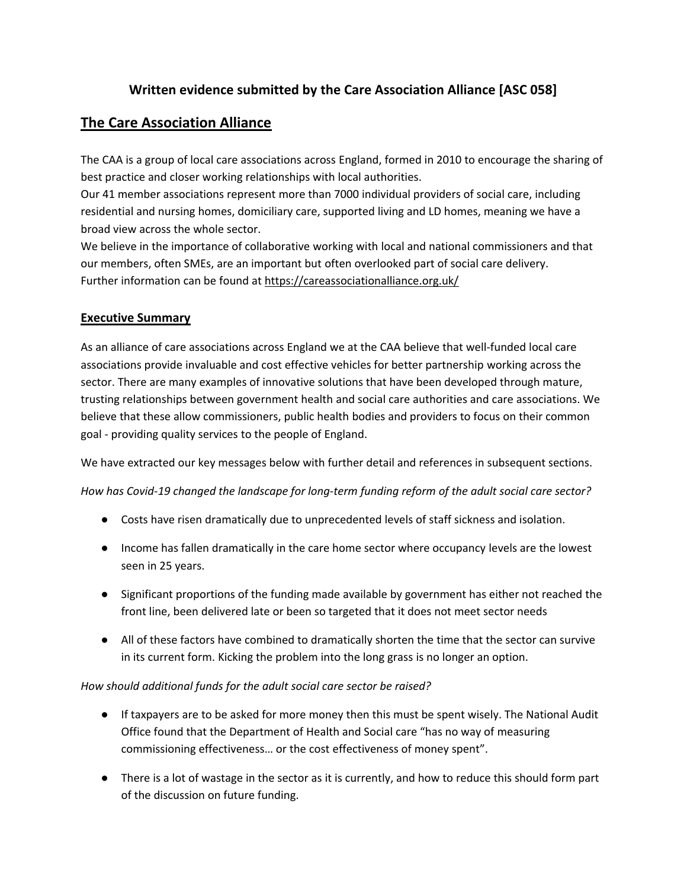### **Written evidence submitted by the Care Association Alliance [ASC 058]**

### **The Care Association Alliance**

The CAA is a group of local care associations across England, formed in 2010 to encourage the sharing of best practice and closer working relationships with local authorities.

Our 41 member associations represent more than 7000 individual providers of social care, including residential and nursing homes, domiciliary care, supported living and LD homes, meaning we have a broad view across the whole sector.

We believe in the importance of collaborative working with local and national commissioners and that our members, often SMEs, are an important but often overlooked part of social care delivery. Further information can be found at <https://careassociationalliance.org.uk/>

### **Executive Summary**

As an alliance of care associations across England we at the CAA believe that well-funded local care associations provide invaluable and cost effective vehicles for better partnership working across the sector. There are many examples of innovative solutions that have been developed through mature, trusting relationships between government health and social care authorities and care associations. We believe that these allow commissioners, public health bodies and providers to focus on their common goal - providing quality services to the people of England.

We have extracted our key messages below with further detail and references in subsequent sections.

*How has Covid-19 changed the landscape for long-term funding reform of the adult social care sector?*

- Costs have risen dramatically due to unprecedented levels of staff sickness and isolation.
- Income has fallen dramatically in the care home sector where occupancy levels are the lowest seen in 25 years.
- Significant proportions of the funding made available by government has either not reached the front line, been delivered late or been so targeted that it does not meet sector needs
- All of these factors have combined to dramatically shorten the time that the sector can survive in its current form. Kicking the problem into the long grass is no longer an option.

#### *How should additional funds for the adult social care sector be raised?*

- If taxpayers are to be asked for more money then this must be spent wisely. The National Audit Office found that the Department of Health and Social care "has no way of measuring commissioning effectiveness… or the cost effectiveness of money spent".
- There is a lot of wastage in the sector as it is currently, and how to reduce this should form part of the discussion on future funding.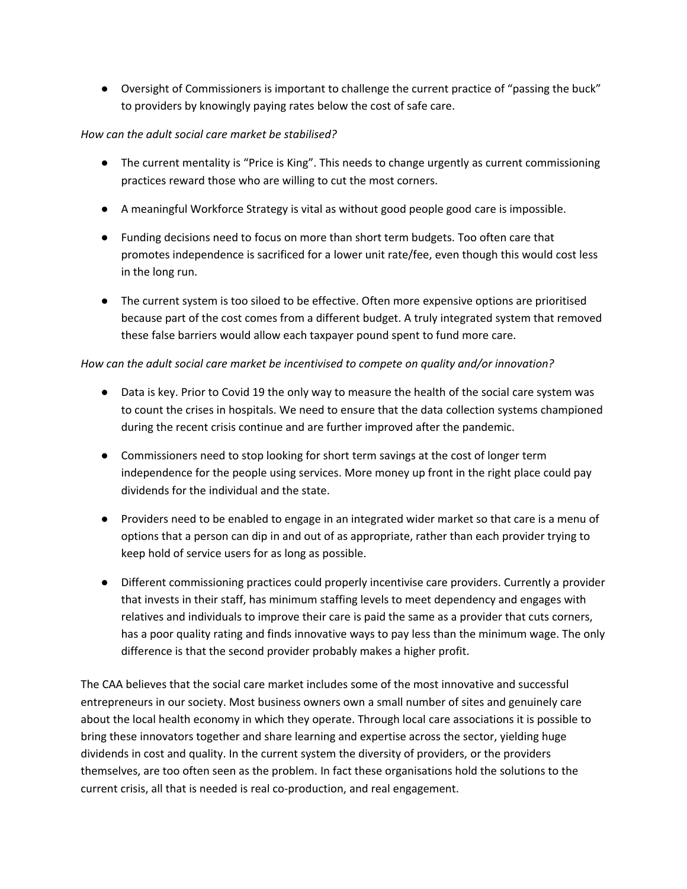● Oversight of Commissioners is important to challenge the current practice of "passing the buck" to providers by knowingly paying rates below the cost of safe care.

#### *How can the adult social care market be stabilised?*

- The current mentality is "Price is King". This needs to change urgently as current commissioning practices reward those who are willing to cut the most corners.
- A meaningful Workforce Strategy is vital as without good people good care is impossible.
- Funding decisions need to focus on more than short term budgets. Too often care that promotes independence is sacrificed for a lower unit rate/fee, even though this would cost less in the long run.
- The current system is too siloed to be effective. Often more expensive options are prioritised because part of the cost comes from a different budget. A truly integrated system that removed these false barriers would allow each taxpayer pound spent to fund more care.

### *How can the adult social care market be incentivised to compete on quality and/or innovation?*

- Data is key. Prior to Covid 19 the only way to measure the health of the social care system was to count the crises in hospitals. We need to ensure that the data collection systems championed during the recent crisis continue and are further improved after the pandemic.
- Commissioners need to stop looking for short term savings at the cost of longer term independence for the people using services. More money up front in the right place could pay dividends for the individual and the state.
- Providers need to be enabled to engage in an integrated wider market so that care is a menu of options that a person can dip in and out of as appropriate, rather than each provider trying to keep hold of service users for as long as possible.
- Different commissioning practices could properly incentivise care providers. Currently a provider that invests in their staff, has minimum staffing levels to meet dependency and engages with relatives and individuals to improve their care is paid the same as a provider that cuts corners, has a poor quality rating and finds innovative ways to pay less than the minimum wage. The only difference is that the second provider probably makes a higher profit.

The CAA believes that the social care market includes some of the most innovative and successful entrepreneurs in our society. Most business owners own a small number of sites and genuinely care about the local health economy in which they operate. Through local care associations it is possible to bring these innovators together and share learning and expertise across the sector, yielding huge dividends in cost and quality. In the current system the diversity of providers, or the providers themselves, are too often seen as the problem. In fact these organisations hold the solutions to the current crisis, all that is needed is real co-production, and real engagement.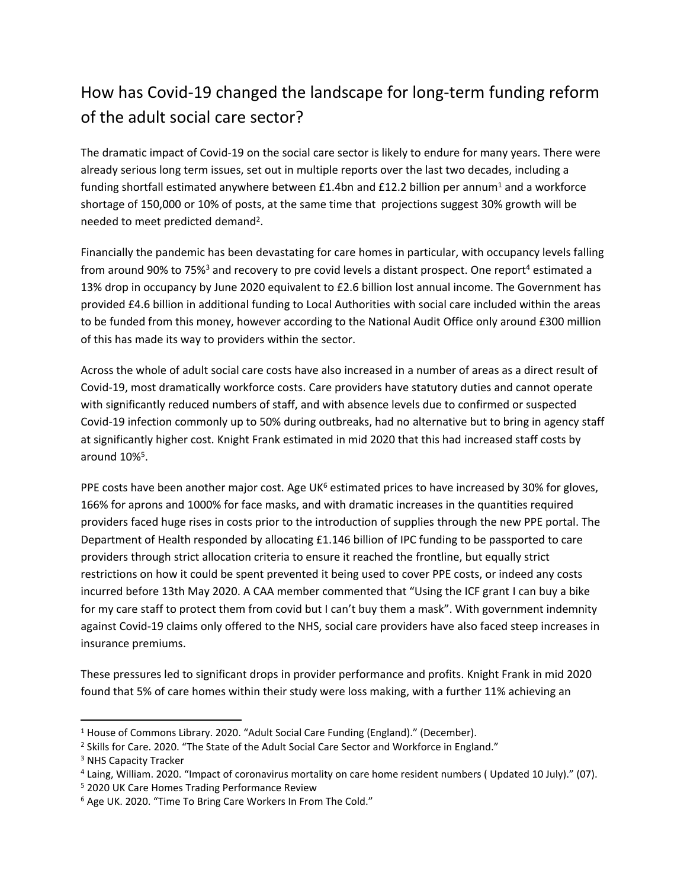# How has Covid-19 changed the landscape for long-term funding reform of the adult social care sector?

The dramatic impact of Covid-19 on the social care sector is likely to endure for many years. There were already serious long term issues, set out in multiple reports over the last two decades, including a funding shortfall estimated anywhere between  $£1.4$ bn and  $£12.2$  billion per annum<sup>1</sup> and a workforce shortage of 150,000 or 10% of posts, at the same time that projections suggest 30% growth will be needed to meet predicted demand<sup>2</sup>.

Financially the pandemic has been devastating for care homes in particular, with occupancy levels falling from around 90% to 75%<sup>3</sup> and recovery to pre covid levels a distant prospect. One report<sup>4</sup> estimated a 13% drop in occupancy by June 2020 equivalent to £2.6 billion lost annual income. The Government has provided £4.6 billion in additional funding to Local Authorities with social care included within the areas to be funded from this money, however according to the National Audit Office only around £300 million of this has made its way to providers within the sector.

Across the whole of adult social care costs have also increased in a number of areas as a direct result of Covid-19, most dramatically workforce costs. Care providers have statutory duties and cannot operate with significantly reduced numbers of staff, and with absence levels due to confirmed or suspected Covid-19 infection commonly up to 50% during outbreaks, had no alternative but to bring in agency staff at significantly higher cost. Knight Frank estimated in mid 2020 that this had increased staff costs by around 10%<sup>5</sup>.

PPE costs have been another major cost. Age UK<sup>6</sup> estimated prices to have increased by 30% for gloves, 166% for aprons and 1000% for face masks, and with dramatic increases in the quantities required providers faced huge rises in costs prior to the introduction of supplies through the new PPE portal. The Department of Health responded by allocating £1.146 billion of IPC funding to be passported to care providers through strict allocation criteria to ensure it reached the frontline, but equally strict restrictions on how it could be spent prevented it being used to cover PPE costs, or indeed any costs incurred before 13th May 2020. A CAA member commented that "Using the ICF grant I can buy a bike for my care staff to protect them from covid but I can't buy them a mask". With government indemnity against Covid-19 claims only offered to the NHS, social care providers have also faced steep increases in insurance premiums.

These pressures led to significant drops in provider performance and profits. Knight Frank in mid 2020 found that 5% of care homes within their study were loss making, with a further 11% achieving an

<sup>&</sup>lt;sup>1</sup> House of Commons Library. 2020. "Adult Social Care Funding (England)." (December).

<sup>&</sup>lt;sup>2</sup> Skills for Care. 2020. "The State of the Adult Social Care Sector and Workforce in England."

<sup>3</sup> NHS Capacity Tracker

<sup>4</sup> Laing, William. 2020. "Impact of coronavirus mortality on care home resident numbers ( Updated 10 July)." (07).

<sup>5</sup> 2020 UK Care Homes Trading Performance Review

<sup>6</sup> Age UK. 2020. "Time To Bring Care Workers In From The Cold."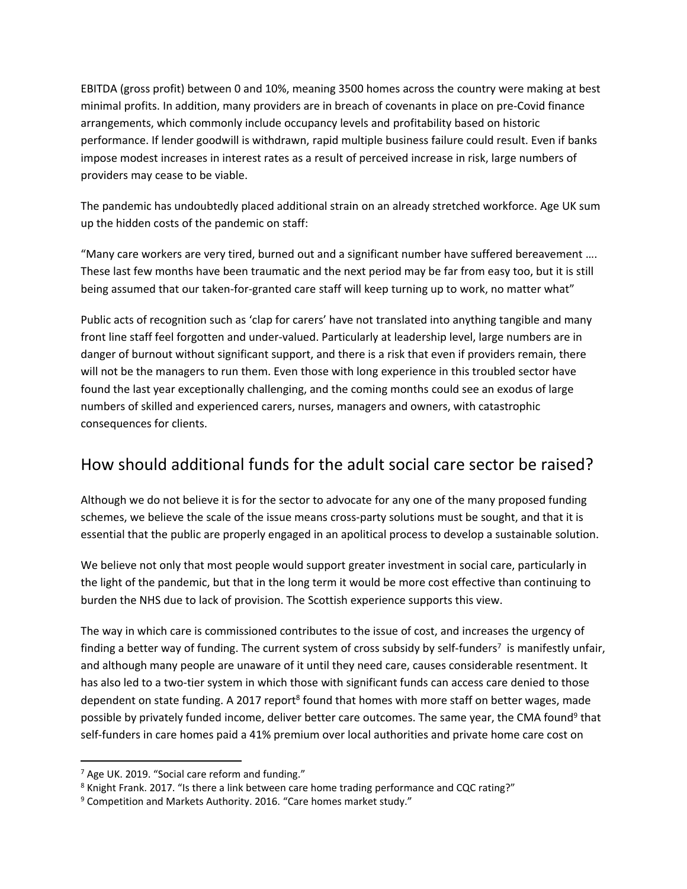EBITDA (gross profit) between 0 and 10%, meaning 3500 homes across the country were making at best minimal profits. In addition, many providers are in breach of covenants in place on pre-Covid finance arrangements, which commonly include occupancy levels and profitability based on historic performance. If lender goodwill is withdrawn, rapid multiple business failure could result. Even if banks impose modest increases in interest rates as a result of perceived increase in risk, large numbers of providers may cease to be viable.

The pandemic has undoubtedly placed additional strain on an already stretched workforce. Age UK sum up the hidden costs of the pandemic on staff:

"Many care workers are very tired, burned out and a significant number have suffered bereavement …. These last few months have been traumatic and the next period may be far from easy too, but it is still being assumed that our taken-for-granted care staff will keep turning up to work, no matter what"

Public acts of recognition such as 'clap for carers' have not translated into anything tangible and many front line staff feel forgotten and under-valued. Particularly at leadership level, large numbers are in danger of burnout without significant support, and there is a risk that even if providers remain, there will not be the managers to run them. Even those with long experience in this troubled sector have found the last year exceptionally challenging, and the coming months could see an exodus of large numbers of skilled and experienced carers, nurses, managers and owners, with catastrophic consequences for clients.

### How should additional funds for the adult social care sector be raised?

Although we do not believe it is for the sector to advocate for any one of the many proposed funding schemes, we believe the scale of the issue means cross-party solutions must be sought, and that it is essential that the public are properly engaged in an apolitical process to develop a sustainable solution.

We believe not only that most people would support greater investment in social care, particularly in the light of the pandemic, but that in the long term it would be more cost effective than continuing to burden the NHS due to lack of provision. The Scottish experience supports this view.

The way in which care is commissioned contributes to the issue of cost, and increases the urgency of finding a better way of funding. The current system of cross subsidy by self-funders<sup>7</sup> is manifestly unfair, and although many people are unaware of it until they need care, causes considerable resentment. It has also led to a two-tier system in which those with significant funds can access care denied to those dependent on state funding. A 2017 report<sup>8</sup> found that homes with more staff on better wages, made possible by privately funded income, deliver better care outcomes. The same year, the CMA found<sup>9</sup> that self-funders in care homes paid a 41% premium over local authorities and private home care cost on

<sup>&</sup>lt;sup>7</sup> Age UK. 2019. "Social care reform and funding."

<sup>8</sup> Knight Frank. 2017. "Is there a link between care home trading performance and CQC rating?"

<sup>&</sup>lt;sup>9</sup> Competition and Markets Authority. 2016. "Care homes market study."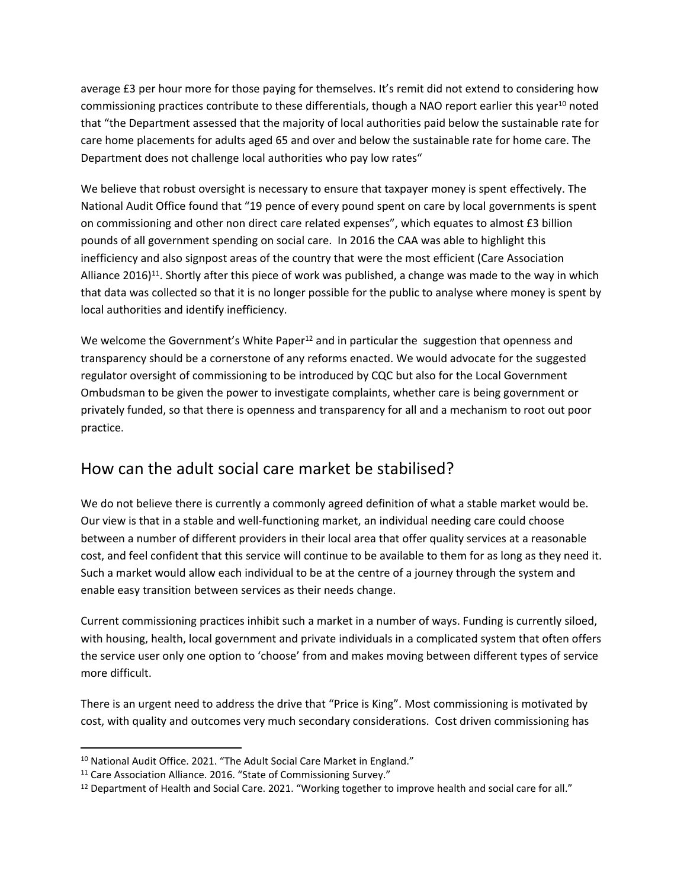average £3 per hour more for those paying for themselves. It's remit did not extend to considering how commissioning practices contribute to these differentials, though a NAO report earlier this year<sup>10</sup> noted that "the Department assessed that the majority of local authorities paid below the sustainable rate for care home placements for adults aged 65 and over and below the sustainable rate for home care. The Department does not challenge local authorities who pay low rates"

We believe that robust oversight is necessary to ensure that taxpayer money is spent effectively. The National Audit Office found that "19 pence of every pound spent on care by local governments is spent on commissioning and other non direct care related expenses", which equates to almost £3 billion pounds of all government spending on social care. In 2016 the CAA was able to highlight this inefficiency and also signpost areas of the country that were the most efficient (Care Association Alliance 2016)<sup>11</sup>. Shortly after this piece of work was published, a change was made to the way in which that data was collected so that it is no longer possible for the public to analyse where money is spent by local authorities and identify inefficiency.

We welcome the Government's White Paper<sup>12</sup> and in particular the suggestion that openness and transparency should be a cornerstone of any reforms enacted. We would advocate for the suggested regulator oversight of commissioning to be introduced by CQC but also for the Local Government Ombudsman to be given the power to investigate complaints, whether care is being government or privately funded, so that there is openness and transparency for all and a mechanism to root out poor practice.

### How can the adult social care market be stabilised?

We do not believe there is currently a commonly agreed definition of what a stable market would be. Our view is that in a stable and well-functioning market, an individual needing care could choose between a number of different providers in their local area that offer quality services at a reasonable cost, and feel confident that this service will continue to be available to them for as long as they need it. Such a market would allow each individual to be at the centre of a journey through the system and enable easy transition between services as their needs change.

Current commissioning practices inhibit such a market in a number of ways. Funding is currently siloed, with housing, health, local government and private individuals in a complicated system that often offers the service user only one option to 'choose' from and makes moving between different types of service more difficult.

There is an urgent need to address the drive that "Price is King". Most commissioning is motivated by cost, with quality and outcomes very much secondary considerations. Cost driven commissioning has

<sup>&</sup>lt;sup>10</sup> National Audit Office. 2021. "The Adult Social Care Market in England."

<sup>&</sup>lt;sup>11</sup> Care Association Alliance. 2016. "State of Commissioning Survey."

<sup>12</sup> Department of Health and Social Care. 2021. "Working together to improve health and social care for all."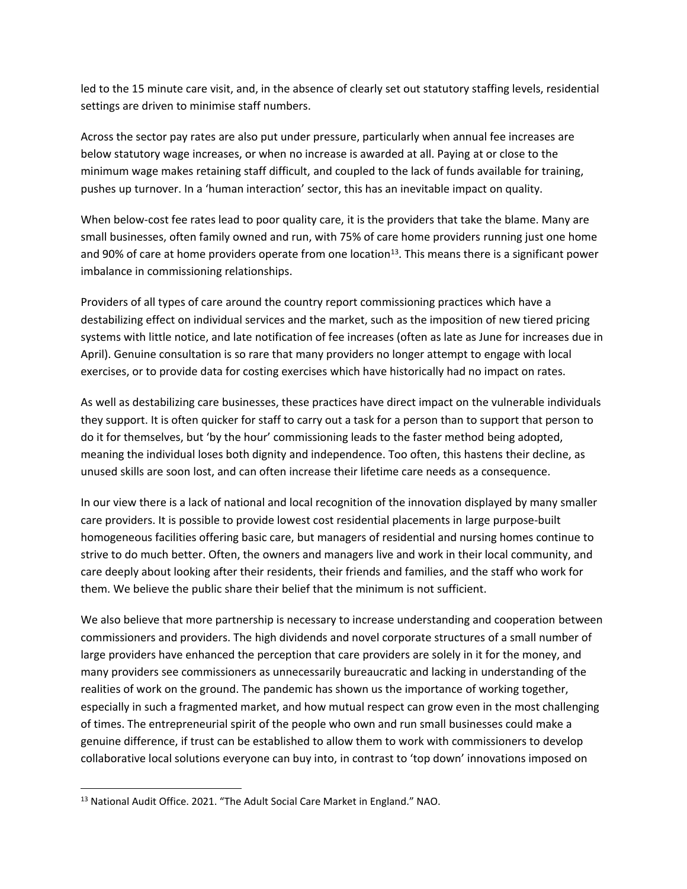led to the 15 minute care visit, and, in the absence of clearly set out statutory staffing levels, residential settings are driven to minimise staff numbers.

Across the sector pay rates are also put under pressure, particularly when annual fee increases are below statutory wage increases, or when no increase is awarded at all. Paying at or close to the minimum wage makes retaining staff difficult, and coupled to the lack of funds available for training, pushes up turnover. In a 'human interaction' sector, this has an inevitable impact on quality.

When below-cost fee rates lead to poor quality care, it is the providers that take the blame. Many are small businesses, often family owned and run, with 75% of care home providers running just one home and 90% of care at home providers operate from one location<sup>13</sup>. This means there is a significant power imbalance in commissioning relationships.

Providers of all types of care around the country report commissioning practices which have a destabilizing effect on individual services and the market, such as the imposition of new tiered pricing systems with little notice, and late notification of fee increases (often as late as June for increases due in April). Genuine consultation is so rare that many providers no longer attempt to engage with local exercises, or to provide data for costing exercises which have historically had no impact on rates.

As well as destabilizing care businesses, these practices have direct impact on the vulnerable individuals they support. It is often quicker for staff to carry out a task for a person than to support that person to do it for themselves, but 'by the hour' commissioning leads to the faster method being adopted, meaning the individual loses both dignity and independence. Too often, this hastens their decline, as unused skills are soon lost, and can often increase their lifetime care needs as a consequence.

In our view there is a lack of national and local recognition of the innovation displayed by many smaller care providers. It is possible to provide lowest cost residential placements in large purpose-built homogeneous facilities offering basic care, but managers of residential and nursing homes continue to strive to do much better. Often, the owners and managers live and work in their local community, and care deeply about looking after their residents, their friends and families, and the staff who work for them. We believe the public share their belief that the minimum is not sufficient.

We also believe that more partnership is necessary to increase understanding and cooperation between commissioners and providers. The high dividends and novel corporate structures of a small number of large providers have enhanced the perception that care providers are solely in it for the money, and many providers see commissioners as unnecessarily bureaucratic and lacking in understanding of the realities of work on the ground. The pandemic has shown us the importance of working together, especially in such a fragmented market, and how mutual respect can grow even in the most challenging of times. The entrepreneurial spirit of the people who own and run small businesses could make a genuine difference, if trust can be established to allow them to work with commissioners to develop collaborative local solutions everyone can buy into, in contrast to 'top down' innovations imposed on

<sup>13</sup> National Audit Office. 2021. "The Adult Social Care Market in England." NAO.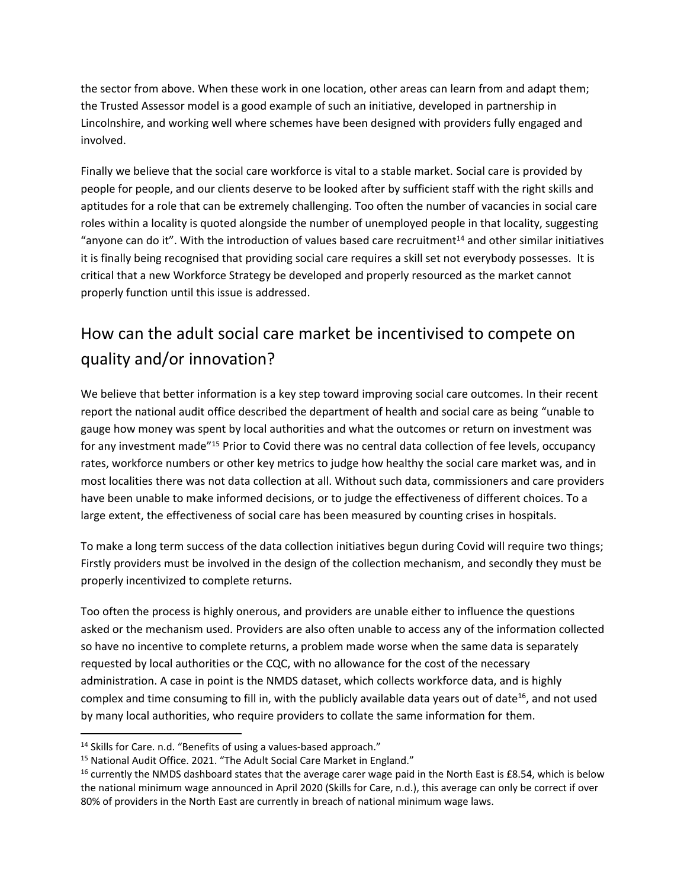the sector from above. When these work in one location, other areas can learn from and adapt them; the Trusted Assessor model is a good example of such an initiative, developed in partnership in Lincolnshire, and working well where schemes have been designed with providers fully engaged and involved.

Finally we believe that the social care workforce is vital to a stable market. Social care is provided by people for people, and our clients deserve to be looked after by sufficient staff with the right skills and aptitudes for a role that can be extremely challenging. Too often the number of vacancies in social care roles within a locality is quoted alongside the number of unemployed people in that locality, suggesting "anyone can do it". With the introduction of values based care recruitment $14$  and other similar initiatives it is finally being recognised that providing social care requires a skill set not everybody possesses. It is critical that a new Workforce Strategy be developed and properly resourced as the market cannot properly function until this issue is addressed.

## How can the adult social care market be incentivised to compete on quality and/or innovation?

We believe that better information is a key step toward improving social care outcomes. In their recent report the national audit office described the department of health and social care as being "unable to gauge how money was spent by local authorities and what the outcomes or return on investment was for any investment made"<sup>15</sup> Prior to Covid there was no central data collection of fee levels, occupancy rates, workforce numbers or other key metrics to judge how healthy the social care market was, and in most localities there was not data collection at all. Without such data, commissioners and care providers have been unable to make informed decisions, or to judge the effectiveness of different choices. To a large extent, the effectiveness of social care has been measured by counting crises in hospitals.

To make a long term success of the data collection initiatives begun during Covid will require two things; Firstly providers must be involved in the design of the collection mechanism, and secondly they must be properly incentivized to complete returns.

Too often the process is highly onerous, and providers are unable either to influence the questions asked or the mechanism used. Providers are also often unable to access any of the information collected so have no incentive to complete returns, a problem made worse when the same data is separately requested by local authorities or the CQC, with no allowance for the cost of the necessary administration. A case in point is the NMDS dataset, which collects workforce data, and is highly complex and time consuming to fill in, with the publicly available data years out of date<sup>16</sup>, and not used by many local authorities, who require providers to collate the same information for them.

<sup>&</sup>lt;sup>14</sup> Skills for Care. n.d. "Benefits of using a values-based approach."

<sup>&</sup>lt;sup>15</sup> National Audit Office. 2021. "The Adult Social Care Market in England."

<sup>&</sup>lt;sup>16</sup> currently the NMDS dashboard states that the average carer wage paid in the North East is £8.54, which is below the national minimum wage announced in April 2020 (Skills for Care, n.d.), this average can only be correct if over 80% of providers in the North East are currently in breach of national minimum wage laws.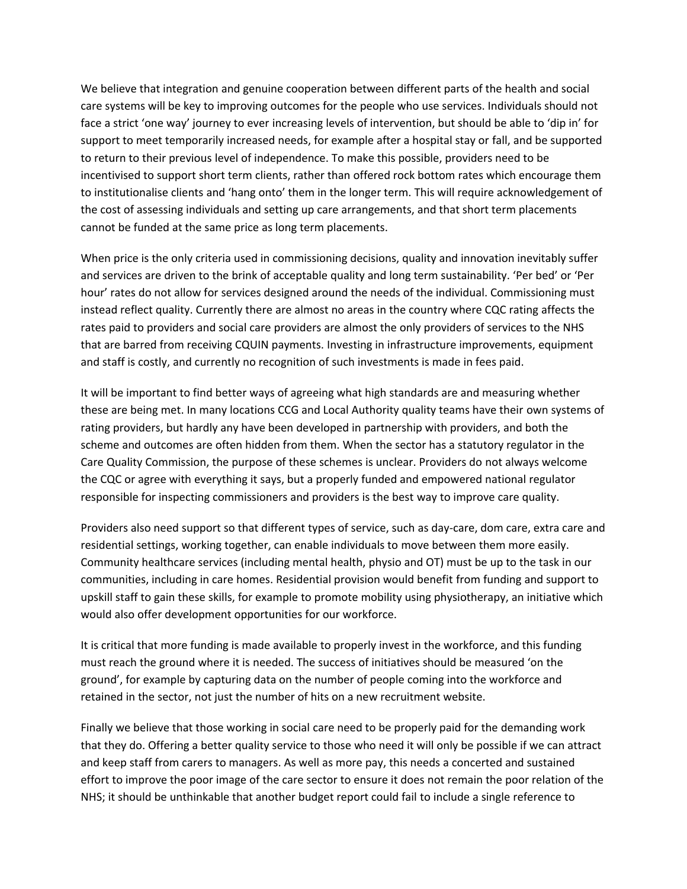We believe that integration and genuine cooperation between different parts of the health and social care systems will be key to improving outcomes for the people who use services. Individuals should not face a strict 'one way' journey to ever increasing levels of intervention, but should be able to 'dip in' for support to meet temporarily increased needs, for example after a hospital stay or fall, and be supported to return to their previous level of independence. To make this possible, providers need to be incentivised to support short term clients, rather than offered rock bottom rates which encourage them to institutionalise clients and 'hang onto' them in the longer term. This will require acknowledgement of the cost of assessing individuals and setting up care arrangements, and that short term placements cannot be funded at the same price as long term placements.

When price is the only criteria used in commissioning decisions, quality and innovation inevitably suffer and services are driven to the brink of acceptable quality and long term sustainability. 'Per bed' or 'Per hour' rates do not allow for services designed around the needs of the individual. Commissioning must instead reflect quality. Currently there are almost no areas in the country where CQC rating affects the rates paid to providers and social care providers are almost the only providers of services to the NHS that are barred from receiving CQUIN payments. Investing in infrastructure improvements, equipment and staff is costly, and currently no recognition of such investments is made in fees paid.

It will be important to find better ways of agreeing what high standards are and measuring whether these are being met. In many locations CCG and Local Authority quality teams have their own systems of rating providers, but hardly any have been developed in partnership with providers, and both the scheme and outcomes are often hidden from them. When the sector has a statutory regulator in the Care Quality Commission, the purpose of these schemes is unclear. Providers do not always welcome the CQC or agree with everything it says, but a properly funded and empowered national regulator responsible for inspecting commissioners and providers is the best way to improve care quality.

Providers also need support so that different types of service, such as day-care, dom care, extra care and residential settings, working together, can enable individuals to move between them more easily. Community healthcare services (including mental health, physio and OT) must be up to the task in our communities, including in care homes. Residential provision would benefit from funding and support to upskill staff to gain these skills, for example to promote mobility using physiotherapy, an initiative which would also offer development opportunities for our workforce.

It is critical that more funding is made available to properly invest in the workforce, and this funding must reach the ground where it is needed. The success of initiatives should be measured 'on the ground', for example by capturing data on the number of people coming into the workforce and retained in the sector, not just the number of hits on a new recruitment website.

Finally we believe that those working in social care need to be properly paid for the demanding work that they do. Offering a better quality service to those who need it will only be possible if we can attract and keep staff from carers to managers. As well as more pay, this needs a concerted and sustained effort to improve the poor image of the care sector to ensure it does not remain the poor relation of the NHS; it should be unthinkable that another budget report could fail to include a single reference to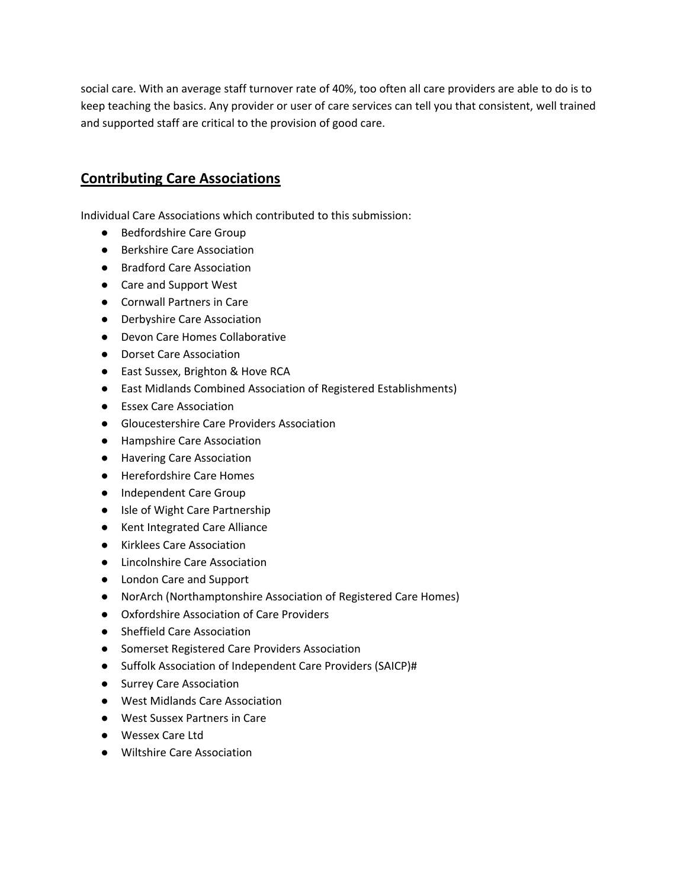social care. With an average staff turnover rate of 40%, too often all care providers are able to do is to keep teaching the basics. Any provider or user of care services can tell you that consistent, well trained and supported staff are critical to the provision of good care.

### **Contributing Care Associations**

Individual Care Associations which contributed to this submission:

- Bedfordshire Care Group
- Berkshire Care Association
- Bradford Care Association
- Care and Support West
- Cornwall Partners in Care
- Derbyshire Care Association
- Devon Care Homes Collaborative
- Dorset Care Association
- East Sussex, Brighton & Hove RCA
- East Midlands Combined Association of Registered Establishments)
- Essex Care Association
- Gloucestershire Care Providers Association
- Hampshire Care Association
- Havering Care Association
- Herefordshire Care Homes
- Independent Care Group
- Isle of Wight Care Partnership
- Kent Integrated Care Alliance
- Kirklees Care Association
- Lincolnshire Care Association
- London Care and Support
- NorArch (Northamptonshire Association of Registered Care Homes)
- Oxfordshire Association of Care Providers
- Sheffield Care Association
- Somerset Registered Care Providers Association
- Suffolk Association of Independent Care Providers (SAICP)#
- Surrey Care Association
- West Midlands Care Association
- West Sussex Partners in Care
- Wessex Care Ltd
- Wiltshire Care Association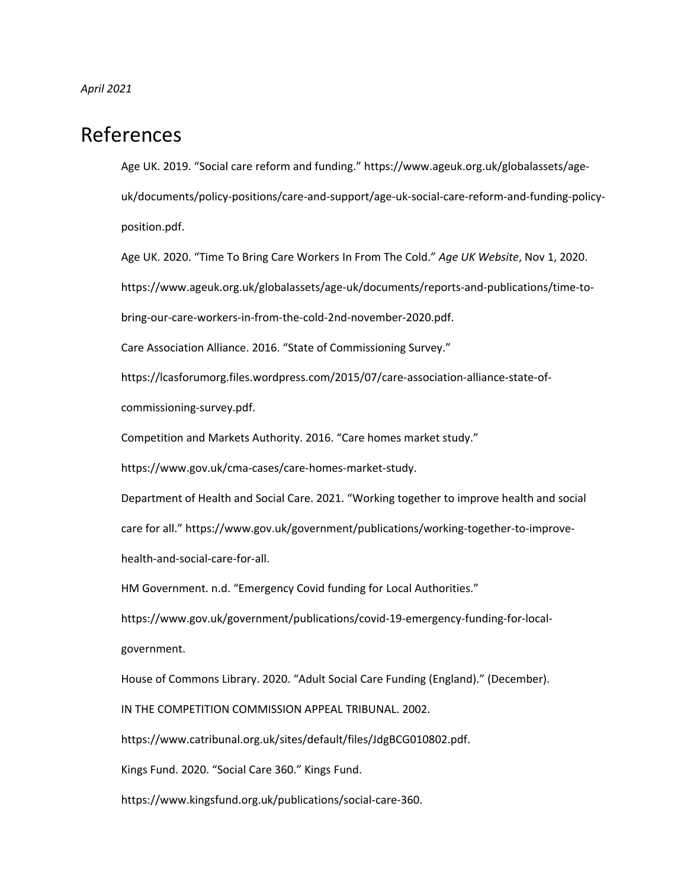*April 2021*

## References

Age UK. 2019. "Social care reform and funding." https://www.ageuk.org.uk/globalassets/ageuk/documents/policy-positions/care-and-support/age-uk-social-care-reform-and-funding-policyposition.pdf.

Age UK. 2020. "Time To Bring Care Workers In From The Cold." *Age UK Website*, Nov 1, 2020. https://www.ageuk.org.uk/globalassets/age-uk/documents/reports-and-publications/time-tobring-our-care-workers-in-from-the-cold-2nd-november-2020.pdf.

Care Association Alliance. 2016. "State of Commissioning Survey."

https://lcasforumorg.files.wordpress.com/2015/07/care-association-alliance-state-of-

commissioning-survey.pdf.

Competition and Markets Authority. 2016. "Care homes market study."

https://www.gov.uk/cma-cases/care-homes-market-study.

Department of Health and Social Care. 2021. "Working together to improve health and social care for all." https://www.gov.uk/government/publications/working-together-to-improvehealth-and-social-care-for-all.

HM Government. n.d. "Emergency Covid funding for Local Authorities."

https://www.gov.uk/government/publications/covid-19-emergency-funding-for-localgovernment.

House of Commons Library. 2020. "Adult Social Care Funding (England)." (December).

IN THE COMPETITION COMMISSION APPEAL TRIBUNAL. 2002.

https://www.catribunal.org.uk/sites/default/files/JdgBCG010802.pdf.

Kings Fund. 2020. "Social Care 360." Kings Fund.

https://www.kingsfund.org.uk/publications/social-care-360.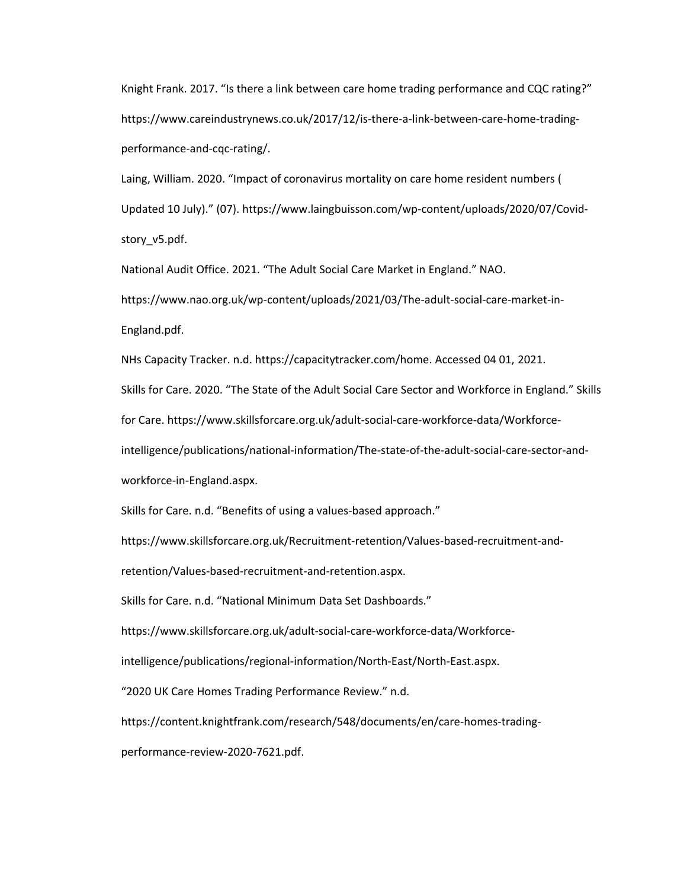Knight Frank. 2017. "Is there a link between care home trading performance and CQC rating?" https://www.careindustrynews.co.uk/2017/12/is-there-a-link-between-care-home-tradingperformance-and-cqc-rating/.

Laing, William. 2020. "Impact of coronavirus mortality on care home resident numbers ( Updated 10 July)." (07). https://www.laingbuisson.com/wp-content/uploads/2020/07/Covidstory\_v5.pdf.

National Audit Office. 2021. "The Adult Social Care Market in England." NAO. https://www.nao.org.uk/wp-content/uploads/2021/03/The-adult-social-care-market-in-England.pdf.

NHs Capacity Tracker. n.d. https://capacitytracker.com/home. Accessed 04 01, 2021.

Skills for Care. 2020. "The State of the Adult Social Care Sector and Workforce in England." Skills

for Care. https://www.skillsforcare.org.uk/adult-social-care-workforce-data/Workforce-

intelligence/publications/national-information/The-state-of-the-adult-social-care-sector-and-

workforce-in-England.aspx.

Skills for Care. n.d. "Benefits of using a values-based approach."

https://www.skillsforcare.org.uk/Recruitment-retention/Values-based-recruitment-and-

retention/Values-based-recruitment-and-retention.aspx.

Skills for Care. n.d. "National Minimum Data Set Dashboards."

https://www.skillsforcare.org.uk/adult-social-care-workforce-data/Workforce-

intelligence/publications/regional-information/North-East/North-East.aspx.

"2020 UK Care Homes Trading Performance Review." n.d.

https://content.knightfrank.com/research/548/documents/en/care-homes-trading-

performance-review-2020-7621.pdf.